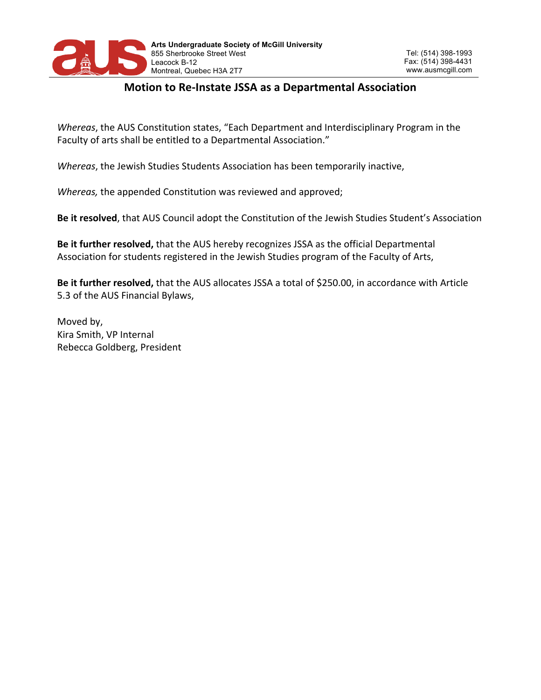

# **Motion to Re-Instate JSSA as a Departmental Association**

*Whereas*, the AUS Constitution states, "Each Department and Interdisciplinary Program in the Faculty of arts shall be entitled to a Departmental Association."

*Whereas*, the Jewish Studies Students Association has been temporarily inactive,

*Whereas*, the appended Constitution was reviewed and approved;

Be it resolved, that AUS Council adopt the Constitution of the Jewish Studies Student's Association

**Be it further resolved,** that the AUS hereby recognizes JSSA as the official Departmental Association for students registered in the Jewish Studies program of the Faculty of Arts,

Be it further resolved, that the AUS allocates JSSA a total of \$250.00, in accordance with Article 5.3 of the AUS Financial Bylaws,

Moved by, Kira Smith, VP Internal Rebecca Goldberg, President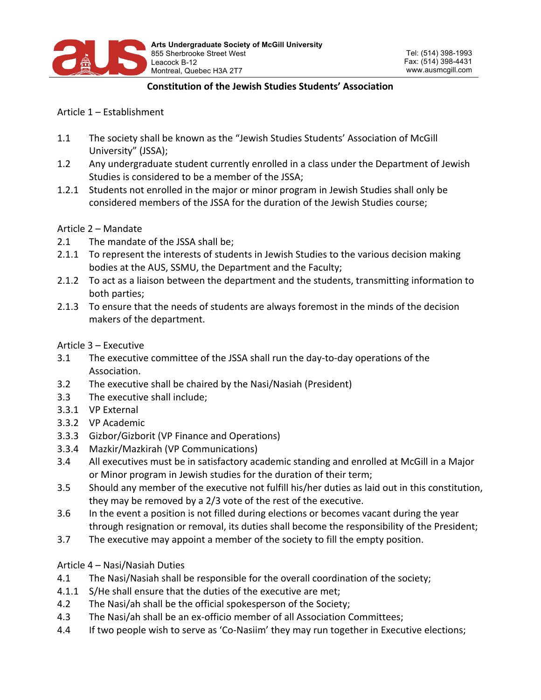

#### **Constitution of the Jewish Studies Students' Association**

Article 1 – Establishment

- 1.1 The society shall be known as the "Jewish Studies Students' Association of McGill University" (JSSA);
- 1.2 Any undergraduate student currently enrolled in a class under the Department of Jewish Studies is considered to be a member of the JSSA;
- 1.2.1 Students not enrolled in the major or minor program in Jewish Studies shall only be considered members of the JSSA for the duration of the Jewish Studies course;

Article 2 – Mandate

- 2.1 The mandate of the JSSA shall be;
- 2.1.1 To represent the interests of students in Jewish Studies to the various decision making bodies at the AUS, SSMU, the Department and the Faculty;
- 2.1.2 To act as a liaison between the department and the students, transmitting information to both parties:
- 2.1.3 To ensure that the needs of students are always foremost in the minds of the decision makers of the department.

Article 3 – Executive

- 3.1 The executive committee of the JSSA shall run the day-to-day operations of the Association.
- 3.2 The executive shall be chaired by the Nasi/Nasiah (President)
- 3.3 The executive shall include;
- 3.3.1 VP External
- 3.3.2 VP Academic
- 3.3.3 Gizbor/Gizborit (VP Finance and Operations)
- 3.3.4 Mazkir/Mazkirah (VP Communications)
- 3.4 All executives must be in satisfactory academic standing and enrolled at McGill in a Major or Minor program in Jewish studies for the duration of their term;
- 3.5 Should any member of the executive not fulfill his/her duties as laid out in this constitution, they may be removed by a 2/3 vote of the rest of the executive.
- 3.6 In the event a position is not filled during elections or becomes vacant during the year through resignation or removal, its duties shall become the responsibility of the President;
- 3.7 The executive may appoint a member of the society to fill the empty position.

### Article 4 – Nasi/Nasiah Duties

- 4.1 The Nasi/Nasiah shall be responsible for the overall coordination of the society;
- 4.1.1 S/He shall ensure that the duties of the executive are met;
- 4.2 The Nasi/ah shall be the official spokesperson of the Society;
- 4.3 The Nasi/ah shall be an ex-officio member of all Association Committees;
- 4.4 If two people wish to serve as 'Co-Nasiim' they may run together in Executive elections;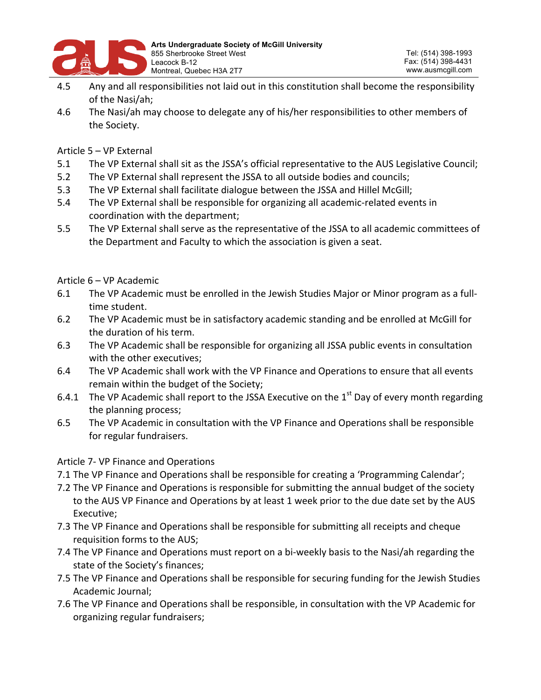

- 4.5 Any and all responsibilities not laid out in this constitution shall become the responsibility of the Nasi/ah:
- 4.6 The Nasi/ah may choose to delegate any of his/her responsibilities to other members of the Society.

Article  $5 - VP$  External

- 5.1 The VP External shall sit as the JSSA's official representative to the AUS Legislative Council;
- 5.2 The VP External shall represent the JSSA to all outside bodies and councils;
- 5.3 The VP External shall facilitate dialogue between the JSSA and Hillel McGill;
- 5.4 The VP External shall be responsible for organizing all academic-related events in coordination with the department;
- 5.5 The VP External shall serve as the representative of the JSSA to all academic committees of the Department and Faculty to which the association is given a seat.

Article 6 – VP Academic

- 6.1 The VP Academic must be enrolled in the Jewish Studies Major or Minor program as a fulltime student.
- 6.2 The VP Academic must be in satisfactory academic standing and be enrolled at McGill for the duration of his term.
- 6.3 The VP Academic shall be responsible for organizing all JSSA public events in consultation with the other executives;
- 6.4 The VP Academic shall work with the VP Finance and Operations to ensure that all events remain within the budget of the Society;
- 6.4.1 The VP Academic shall report to the JSSA Executive on the  $1<sup>st</sup>$  Day of every month regarding the planning process;
- 6.5 The VP Academic in consultation with the VP Finance and Operations shall be responsible for regular fundraisers.

Article 7- VP Finance and Operations

- 7.1 The VP Finance and Operations shall be responsible for creating a 'Programming Calendar';
- 7.2 The VP Finance and Operations is responsible for submitting the annual budget of the society to the AUS VP Finance and Operations by at least 1 week prior to the due date set by the AUS Executive;
- 7.3 The VP Finance and Operations shall be responsible for submitting all receipts and cheque requisition forms to the AUS;
- 7.4 The VP Finance and Operations must report on a bi-weekly basis to the Nasi/ah regarding the state of the Society's finances;
- 7.5 The VP Finance and Operations shall be responsible for securing funding for the Jewish Studies Academic Journal:
- 7.6 The VP Finance and Operations shall be responsible, in consultation with the VP Academic for organizing regular fundraisers;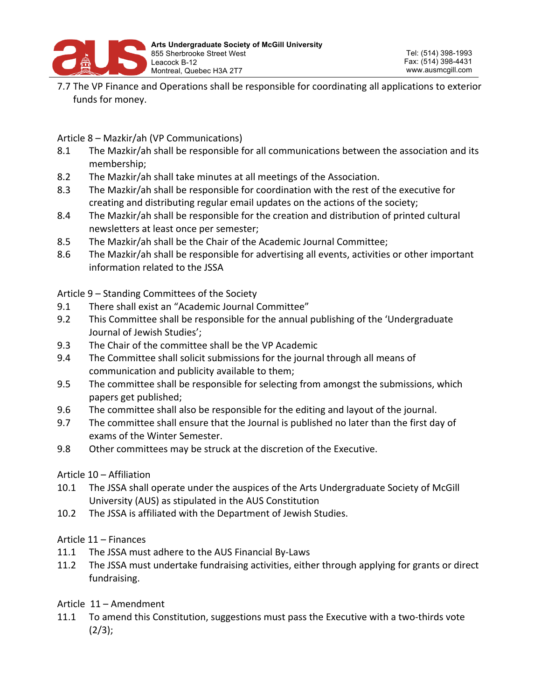

7.7 The VP Finance and Operations shall be responsible for coordinating all applications to exterior funds for money.

Article 8 – Mazkir/ah (VP Communications)

- 8.1 The Mazkir/ah shall be responsible for all communications between the association and its membership;
- 8.2 The Mazkir/ah shall take minutes at all meetings of the Association.
- 8.3 The Mazkir/ah shall be responsible for coordination with the rest of the executive for creating and distributing regular email updates on the actions of the society;
- 8.4 The Mazkir/ah shall be responsible for the creation and distribution of printed cultural newsletters at least once per semester;
- 8.5 The Mazkir/ah shall be the Chair of the Academic Journal Committee;
- 8.6 The Mazkir/ah shall be responsible for advertising all events, activities or other important information related to the JSSA

Article  $9$  – Standing Committees of the Society

- 9.1 There shall exist an "Academic Journal Committee"
- 9.2 This Committee shall be responsible for the annual publishing of the 'Undergraduate Journal of Jewish Studies';
- 9.3 The Chair of the committee shall be the VP Academic
- 9.4 The Committee shall solicit submissions for the journal through all means of communication and publicity available to them;
- 9.5 The committee shall be responsible for selecting from amongst the submissions, which papers get published;
- 9.6 The committee shall also be responsible for the editing and layout of the journal.
- 9.7 The committee shall ensure that the Journal is published no later than the first day of exams of the Winter Semester.
- 9.8 Other committees may be struck at the discretion of the Executive.

### Article 10 – Affiliation

- 10.1 The JSSA shall operate under the auspices of the Arts Undergraduate Society of McGill University (AUS) as stipulated in the AUS Constitution
- 10.2 The JSSA is affiliated with the Department of Jewish Studies.

## Article  $11 -$  Finances

- 11.1 The JSSA must adhere to the AUS Financial By-Laws
- 11.2 The JSSA must undertake fundraising activities, either through applying for grants or direct fundraising.
- Article 11 Amendment
- 11.1 To amend this Constitution, suggestions must pass the Executive with a two-thirds vote  $(2/3);$